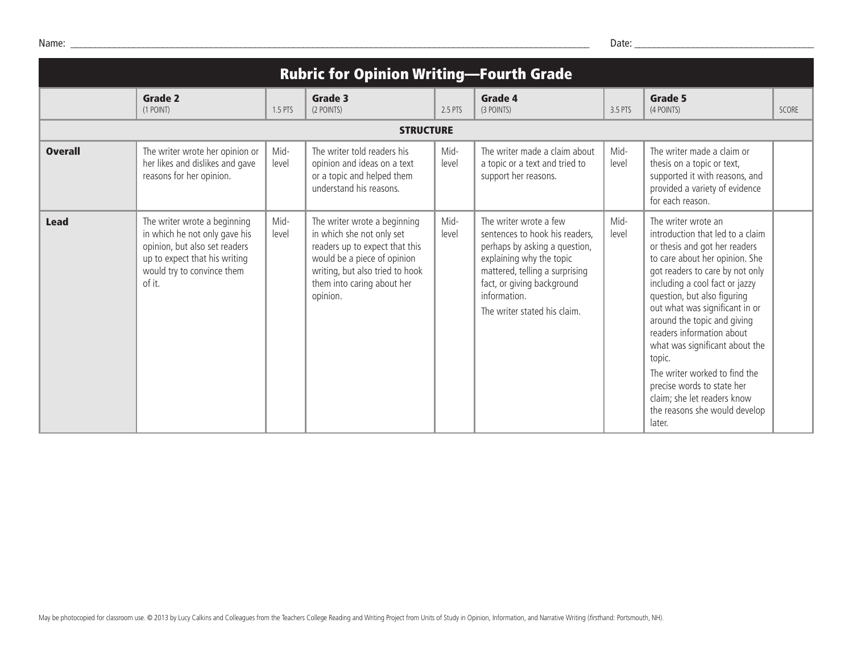| <b>Rubric for Opinion Writing-Fourth Grade</b> |                                                                                                                                                                         |               |                                                                                                                                                                                                         |               |                                                                                                                                                                                                                                       |               |                                                                                                                                                                                                                                                                                                                                                                                                                                                                                                                   |       |
|------------------------------------------------|-------------------------------------------------------------------------------------------------------------------------------------------------------------------------|---------------|---------------------------------------------------------------------------------------------------------------------------------------------------------------------------------------------------------|---------------|---------------------------------------------------------------------------------------------------------------------------------------------------------------------------------------------------------------------------------------|---------------|-------------------------------------------------------------------------------------------------------------------------------------------------------------------------------------------------------------------------------------------------------------------------------------------------------------------------------------------------------------------------------------------------------------------------------------------------------------------------------------------------------------------|-------|
|                                                | <b>Grade 2</b><br>(1 POINT)                                                                                                                                             | 1.5 PTS       | <b>Grade 3</b><br>(2 POINTS)                                                                                                                                                                            | 2.5 PTS       | <b>Grade 4</b><br>(3 POINTS)                                                                                                                                                                                                          | 3.5 PTS       | Grade 5<br>(4 POINTS)                                                                                                                                                                                                                                                                                                                                                                                                                                                                                             | SCORE |
| <b>STRUCTURE</b>                               |                                                                                                                                                                         |               |                                                                                                                                                                                                         |               |                                                                                                                                                                                                                                       |               |                                                                                                                                                                                                                                                                                                                                                                                                                                                                                                                   |       |
| <b>Overall</b>                                 | The writer wrote her opinion or<br>her likes and dislikes and gave<br>reasons for her opinion.                                                                          | Mid-<br>level | The writer told readers his<br>opinion and ideas on a text<br>or a topic and helped them<br>understand his reasons.                                                                                     | Mid-<br>level | The writer made a claim about<br>a topic or a text and tried to<br>support her reasons.                                                                                                                                               | Mid-<br>level | The writer made a claim or<br>thesis on a topic or text,<br>supported it with reasons, and<br>provided a variety of evidence<br>for each reason.                                                                                                                                                                                                                                                                                                                                                                  |       |
| <b>Lead</b>                                    | The writer wrote a beginning<br>in which he not only gave his<br>opinion, but also set readers<br>up to expect that his writing<br>would try to convince them<br>of it. | Mid-<br>level | The writer wrote a beginning<br>in which she not only set<br>readers up to expect that this<br>would be a piece of opinion<br>writing, but also tried to hook<br>them into caring about her<br>opinion. | Mid-<br>level | The writer wrote a few<br>sentences to hook his readers,<br>perhaps by asking a question,<br>explaining why the topic<br>mattered, telling a surprising<br>fact, or giving background<br>information.<br>The writer stated his claim. | Mid-<br>level | The writer wrote an<br>introduction that led to a claim<br>or thesis and got her readers<br>to care about her opinion. She<br>got readers to care by not only<br>including a cool fact or jazzy<br>question, but also figuring<br>out what was significant in or<br>around the topic and giving<br>readers information about<br>what was significant about the<br>topic.<br>The writer worked to find the<br>precise words to state her<br>claim; she let readers know<br>the reasons she would develop<br>later. |       |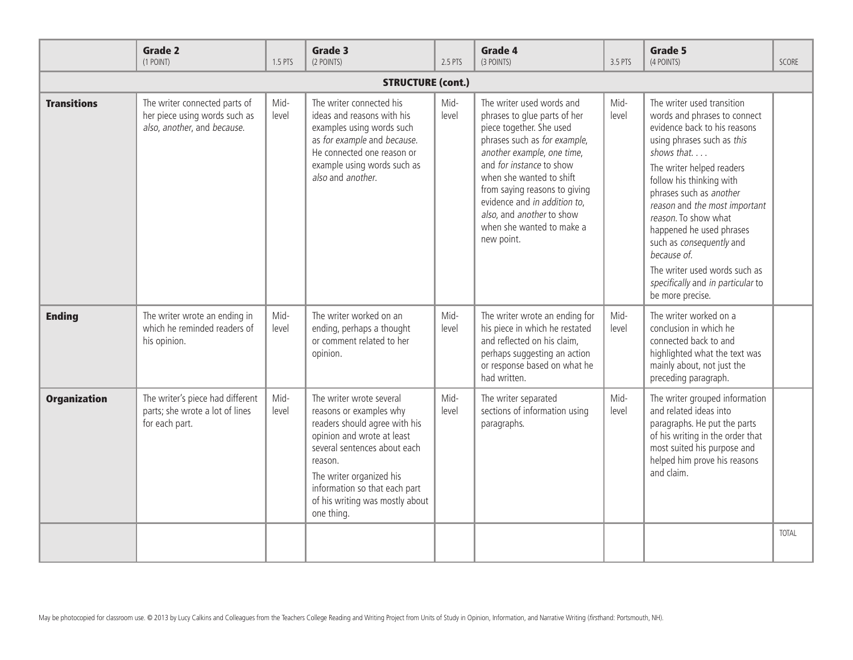|                          | <b>Grade 2</b><br>(1 POINT)                                                                   | 1.5 PTS       | Grade 3<br>(2 POINTS)                                                                                                                                                                                                                                                       | 2.5 PTS       | <b>Grade 4</b><br>(3 POINTS)                                                                                                                                                                                                                                                                                                                         | 3.5 PTS       | Grade 5<br>(4 POINTS)                                                                                                                                                                                                                                                                                                                                                                                                                                | <b>SCORE</b> |
|--------------------------|-----------------------------------------------------------------------------------------------|---------------|-----------------------------------------------------------------------------------------------------------------------------------------------------------------------------------------------------------------------------------------------------------------------------|---------------|------------------------------------------------------------------------------------------------------------------------------------------------------------------------------------------------------------------------------------------------------------------------------------------------------------------------------------------------------|---------------|------------------------------------------------------------------------------------------------------------------------------------------------------------------------------------------------------------------------------------------------------------------------------------------------------------------------------------------------------------------------------------------------------------------------------------------------------|--------------|
| <b>STRUCTURE (cont.)</b> |                                                                                               |               |                                                                                                                                                                                                                                                                             |               |                                                                                                                                                                                                                                                                                                                                                      |               |                                                                                                                                                                                                                                                                                                                                                                                                                                                      |              |
| <b>Transitions</b>       | The writer connected parts of<br>her piece using words such as<br>also, another, and because. | Mid-<br>level | The writer connected his<br>ideas and reasons with his<br>examples using words such<br>as for example and because.<br>He connected one reason or<br>example using words such as<br>also and another.                                                                        | Mid-<br>level | The writer used words and<br>phrases to glue parts of her<br>piece together. She used<br>phrases such as for example,<br>another example, one time,<br>and for instance to show<br>when she wanted to shift<br>from saying reasons to giving<br>evidence and in addition to,<br>also, and another to show<br>when she wanted to make a<br>new point. | Mid-<br>level | The writer used transition<br>words and phrases to connect<br>evidence back to his reasons<br>using phrases such as this<br>shows that<br>The writer helped readers<br>follow his thinking with<br>phrases such as another<br>reason and the most important<br>reason. To show what<br>happened he used phrases<br>such as consequently and<br>because of.<br>The writer used words such as<br>specifically and in particular to<br>be more precise. |              |
| <b>Ending</b>            | The writer wrote an ending in<br>which he reminded readers of<br>his opinion.                 | Mid-<br>level | The writer worked on an<br>ending, perhaps a thought<br>or comment related to her<br>opinion.                                                                                                                                                                               | Mid-<br>level | The writer wrote an ending for<br>his piece in which he restated<br>and reflected on his claim,<br>perhaps suggesting an action<br>or response based on what he<br>had written.                                                                                                                                                                      | Mid-<br>level | The writer worked on a<br>conclusion in which he<br>connected back to and<br>highlighted what the text was<br>mainly about, not just the<br>preceding paragraph.                                                                                                                                                                                                                                                                                     |              |
| <b>Organization</b>      | The writer's piece had different<br>parts; she wrote a lot of lines<br>for each part.         | Mid-<br>level | The writer wrote several<br>reasons or examples why<br>readers should agree with his<br>opinion and wrote at least<br>several sentences about each<br>reason.<br>The writer organized his<br>information so that each part<br>of his writing was mostly about<br>one thing. | Mid-<br>level | The writer separated<br>sections of information using<br>paragraphs.                                                                                                                                                                                                                                                                                 | Mid-<br>level | The writer grouped information<br>and related ideas into<br>paragraphs. He put the parts<br>of his writing in the order that<br>most suited his purpose and<br>helped him prove his reasons<br>and claim.                                                                                                                                                                                                                                            |              |
|                          |                                                                                               |               |                                                                                                                                                                                                                                                                             |               |                                                                                                                                                                                                                                                                                                                                                      |               |                                                                                                                                                                                                                                                                                                                                                                                                                                                      | <b>TOTAL</b> |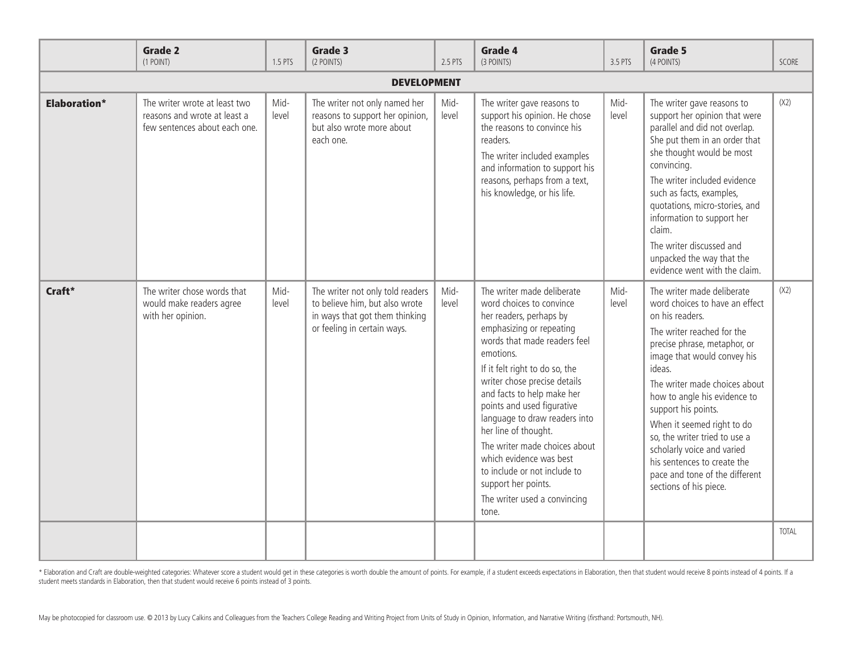|                     | <b>Grade 2</b><br>(1 POINT)                                                                    | 1.5 PTS       | Grade 3<br>(2 POINTS)                                                                                                               | 2.5 PTS       | Grade 4<br>(3 POINTS)                                                                                                                                                                                                                                                                                                                                                                                                                                                                                         | 3.5 PTS       | <b>Grade 5</b><br>(4 POINTS)                                                                                                                                                                                                                                                                                                                                                                                                                                           | <b>SCORE</b> |
|---------------------|------------------------------------------------------------------------------------------------|---------------|-------------------------------------------------------------------------------------------------------------------------------------|---------------|---------------------------------------------------------------------------------------------------------------------------------------------------------------------------------------------------------------------------------------------------------------------------------------------------------------------------------------------------------------------------------------------------------------------------------------------------------------------------------------------------------------|---------------|------------------------------------------------------------------------------------------------------------------------------------------------------------------------------------------------------------------------------------------------------------------------------------------------------------------------------------------------------------------------------------------------------------------------------------------------------------------------|--------------|
| <b>DEVELOPMENT</b>  |                                                                                                |               |                                                                                                                                     |               |                                                                                                                                                                                                                                                                                                                                                                                                                                                                                                               |               |                                                                                                                                                                                                                                                                                                                                                                                                                                                                        |              |
| <b>Elaboration*</b> | The writer wrote at least two<br>reasons and wrote at least a<br>few sentences about each one. | Mid-<br>level | The writer not only named her<br>reasons to support her opinion,<br>but also wrote more about<br>each one.                          | Mid-<br>level | The writer gave reasons to<br>support his opinion. He chose<br>the reasons to convince his<br>readers.<br>The writer included examples<br>and information to support his<br>reasons, perhaps from a text,<br>his knowledge, or his life.                                                                                                                                                                                                                                                                      | Mid-<br>level | The writer gave reasons to<br>support her opinion that were<br>parallel and did not overlap.<br>She put them in an order that<br>she thought would be most<br>convincing.<br>The writer included evidence<br>such as facts, examples,<br>quotations, micro-stories, and<br>information to support her<br>claim.<br>The writer discussed and<br>unpacked the way that the<br>evidence went with the claim.                                                              | (X2)         |
| Craft*              | The writer chose words that<br>would make readers agree<br>with her opinion.                   | Mid-<br>level | The writer not only told readers<br>to believe him, but also wrote<br>in ways that got them thinking<br>or feeling in certain ways. | Mid-<br>level | The writer made deliberate<br>word choices to convince<br>her readers, perhaps by<br>emphasizing or repeating<br>words that made readers feel<br>emotions.<br>If it felt right to do so, the<br>writer chose precise details<br>and facts to help make her<br>points and used figurative<br>language to draw readers into<br>her line of thought.<br>The writer made choices about<br>which evidence was best<br>to include or not include to<br>support her points.<br>The writer used a convincing<br>tone. | Mid-<br>level | The writer made deliberate<br>word choices to have an effect<br>on his readers.<br>The writer reached for the<br>precise phrase, metaphor, or<br>image that would convey his<br>ideas.<br>The writer made choices about<br>how to angle his evidence to<br>support his points.<br>When it seemed right to do<br>so, the writer tried to use a<br>scholarly voice and varied<br>his sentences to create the<br>pace and tone of the different<br>sections of his piece. | (X2)         |
|                     |                                                                                                |               |                                                                                                                                     |               |                                                                                                                                                                                                                                                                                                                                                                                                                                                                                                               |               |                                                                                                                                                                                                                                                                                                                                                                                                                                                                        | <b>TOTAL</b> |

\* Elaboration and Craft are double-weighted categories: Whatever score a student would get in these categories is worth double the amount of points. For example, if a student exceeds expectations in Elaboration, then that student meets standards in Elaboration, then that student would receive 6 points instead of 3 points.